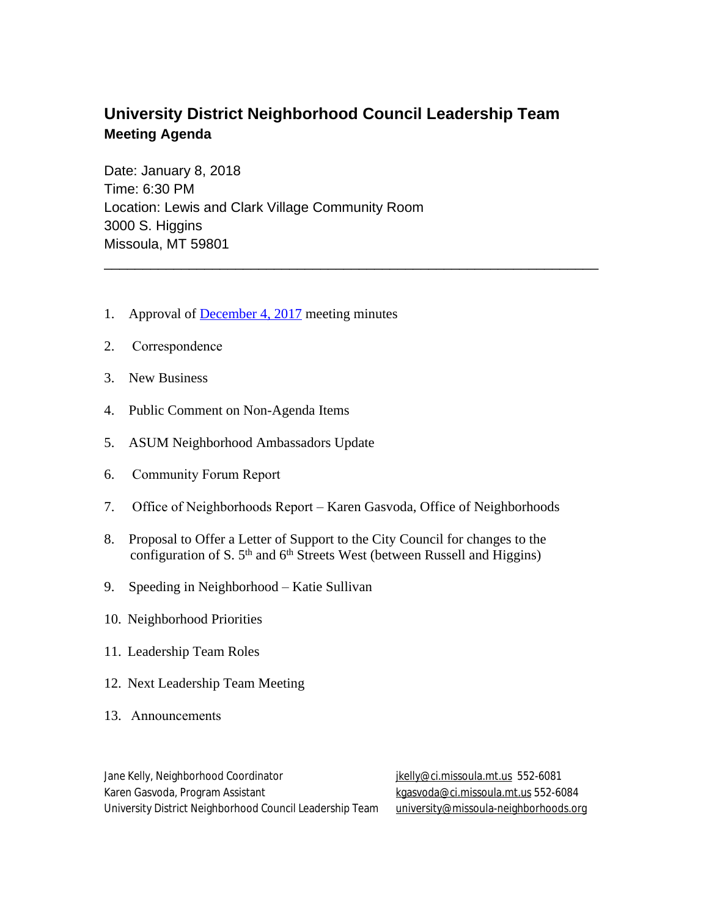## **University District Neighborhood Council Leadership Team Meeting Agenda**

\_\_\_\_\_\_\_\_\_\_\_\_\_\_\_\_\_\_\_\_\_\_\_\_\_\_\_\_\_\_\_\_\_\_\_\_\_\_\_\_\_\_\_\_\_\_\_\_\_\_\_\_\_\_\_\_\_\_\_\_\_\_\_\_

Date: January 8, 2018 Time: 6:30 PM Location: Lewis and Clark Village Community Room 3000 S. Higgins Missoula, MT 59801

- 1. Approval of [December 4, 2017](http://www.ci.missoula.mt.us/ArchiveCenter/ViewFile/Item/12233) meeting minutes
- 2. Correspondence
- 3. New Business
- 4. Public Comment on Non-Agenda Items
- 5. ASUM Neighborhood Ambassadors Update
- 6. Community Forum Report
- 7. Office of Neighborhoods Report Karen Gasvoda, Office of Neighborhoods
- 8. Proposal to Offer a Letter of Support to the City Council for changes to the configuration of S.  $5<sup>th</sup>$  and  $6<sup>th</sup>$  Streets West (between Russell and Higgins)
- 9. Speeding in Neighborhood Katie Sullivan
- 10. Neighborhood Priorities
- 11. Leadership Team Roles
- 12. Next Leadership Team Meeting
- 13. Announcements

Jane Kelly, Neighborhood Coordinator in the studies of the likelly according to the studies of the studies of the S Karen Gasvoda, Program Assistant [kgasvoda@ci.missoula.mt.us](mailto:kgasvoda@ci.missoula.mt.us) 552-6084 University District Neighborhood Council Leadership Team [university@missoula-neighborhoods.org](mailto:university@missoula-neighborhoods.org)